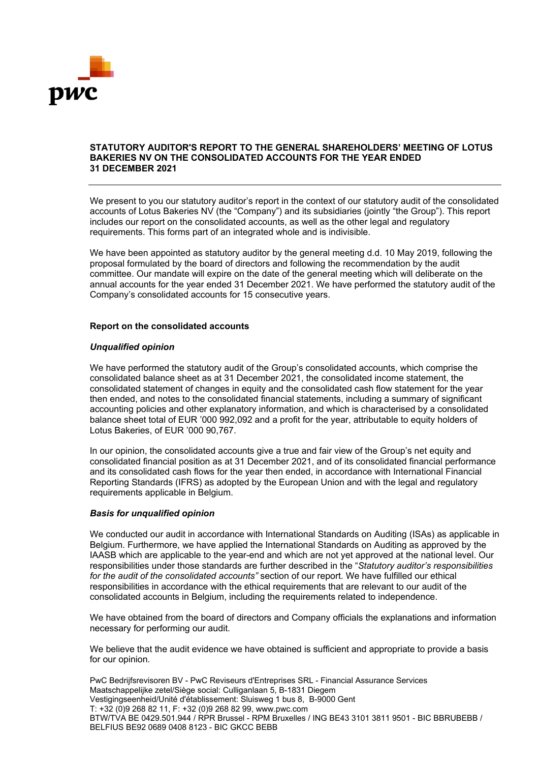

### **STATUTORY AUDITOR'S REPORT TO THE GENERAL SHAREHOLDERS' MEETING OF LOTUS BAKERIES NV ON THE CONSOLIDATED ACCOUNTS FOR THE YEAR ENDED 31 DECEMBER 2021**

We present to you our statutory auditor's report in the context of our statutory audit of the consolidated accounts of Lotus Bakeries NV (the "Company") and its subsidiaries (jointly "the Group"). This report includes our report on the consolidated accounts, as well as the other legal and regulatory requirements. This forms part of an integrated whole and is indivisible.

We have been appointed as statutory auditor by the general meeting d.d. 10 May 2019, following the proposal formulated by the board of directors and following the recommendation by the audit committee. Our mandate will expire on the date of the general meeting which will deliberate on the annual accounts for the year ended 31 December 2021. We have performed the statutory audit of the Company's consolidated accounts for 15 consecutive years.

## **Report on the consolidated accounts**

## *Unqualified opinion*

We have performed the statutory audit of the Group's consolidated accounts, which comprise the consolidated balance sheet as at 31 December 2021, the consolidated income statement, the consolidated statement of changes in equity and the consolidated cash flow statement for the year then ended, and notes to the consolidated financial statements, including a summary of significant accounting policies and other explanatory information, and which is characterised by a consolidated balance sheet total of EUR '000 992,092 and a profit for the year, attributable to equity holders of Lotus Bakeries, of EUR '000 90,767.

In our opinion, the consolidated accounts give a true and fair view of the Group's net equity and consolidated financial position as at 31 December 2021, and of its consolidated financial performance and its consolidated cash flows for the year then ended, in accordance with International Financial Reporting Standards (IFRS) as adopted by the European Union and with the legal and regulatory requirements applicable in Belgium.

### *Basis for unqualified opinion*

We conducted our audit in accordance with International Standards on Auditing (ISAs) as applicable in Belgium. Furthermore, we have applied the International Standards on Auditing as approved by the IAASB which are applicable to the year-end and which are not yet approved at the national level. Our responsibilities under those standards are further described in the "*Statutory auditor's responsibilities for the audit of the consolidated accounts"* section of our report. We have fulfilled our ethical responsibilities in accordance with the ethical requirements that are relevant to our audit of the consolidated accounts in Belgium, including the requirements related to independence.

We have obtained from the board of directors and Company officials the explanations and information necessary for performing our audit.

We believe that the audit evidence we have obtained is sufficient and appropriate to provide a basis for our opinion.

PwC Bedrijfsrevisoren BV - PwC Reviseurs d'Entreprises SRL - Financial Assurance Services Maatschappelijke zetel/Siège social: Culliganlaan 5, B-1831 Diegem Vestigingseenheid/Unité d'établissement: Sluisweg 1 bus 8, B-9000 Gent T: +32 (0)9 268 82 11, F: +32 (0)9 268 82 99, www.pwc.com BTW/TVA BE 0429.501.944 / RPR Brussel - RPM Bruxelles / ING BE43 3101 3811 9501 - BIC BBRUBEBB / BELFIUS BE92 0689 0408 8123 - BIC GKCC BEBB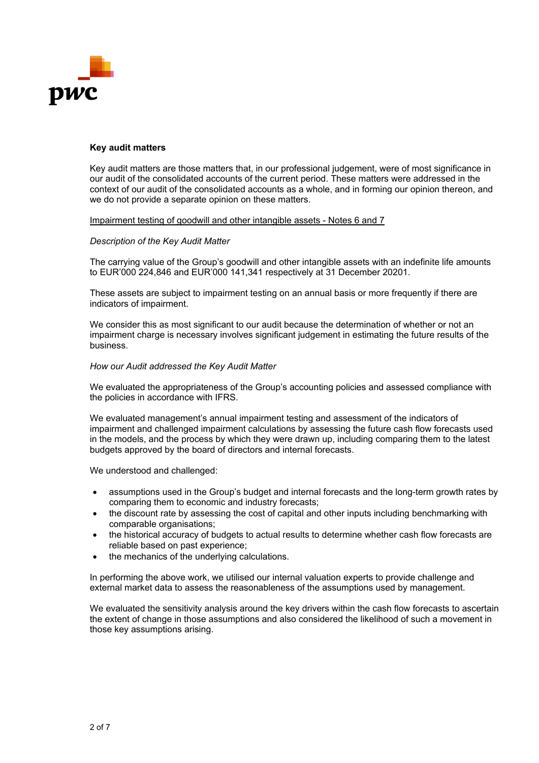

### **Key audit matters**

Key audit matters are those matters that, in our professional judgement, were of most significance in our audit of the consolidated accounts of the current period. These matters were addressed in the context of our audit of the consolidated accounts as a whole, and in forming our opinion thereon, and we do not provide a separate opinion on these matters.

## Impairment testing of goodwill and other intangible assets - Notes 6 and 7

## *Description of the Key Audit Matter*

The carrying value of the Group's goodwill and other intangible assets with an indefinite life amounts to EUR'000 224,846 and EUR'000 141,341 respectively at 31 December 20201.

These assets are subject to impairment testing on an annual basis or more frequently if there are indicators of impairment.

We consider this as most significant to our audit because the determination of whether or not an impairment charge is necessary involves significant judgement in estimating the future results of the business.

## *How our Audit addressed the Key Audit Matter*

We evaluated the appropriateness of the Group's accounting policies and assessed compliance with the policies in accordance with IFRS.

We evaluated management's annual impairment testing and assessment of the indicators of impairment and challenged impairment calculations by assessing the future cash flow forecasts used in the models, and the process by which they were drawn up, including comparing them to the latest budgets approved by the board of directors and internal forecasts.

We understood and challenged:

- assumptions used in the Group's budget and internal forecasts and the long-term growth rates by comparing them to economic and industry forecasts;
- the discount rate by assessing the cost of capital and other inputs including benchmarking with comparable organisations;
- the historical accuracy of budgets to actual results to determine whether cash flow forecasts are reliable based on past experience;
- the mechanics of the underlying calculations.

In performing the above work, we utilised our internal valuation experts to provide challenge and external market data to assess the reasonableness of the assumptions used by management.

We evaluated the sensitivity analysis around the key drivers within the cash flow forecasts to ascertain the extent of change in those assumptions and also considered the likelihood of such a movement in those key assumptions arising.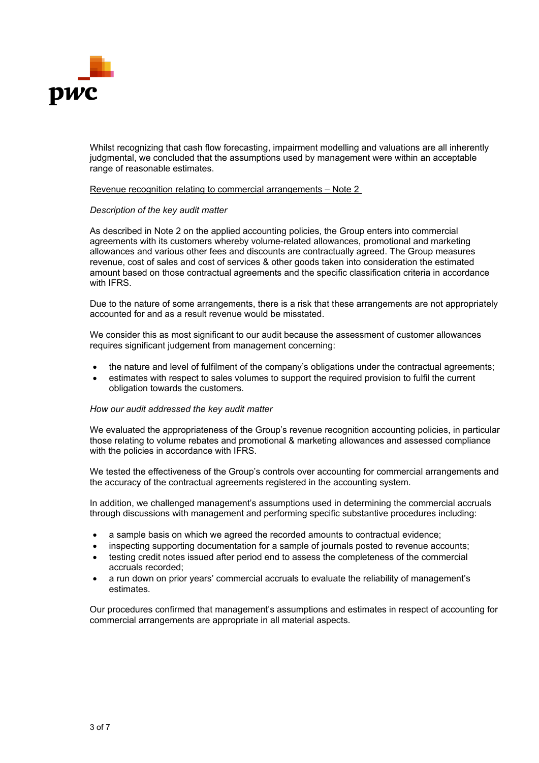

Whilst recognizing that cash flow forecasting, impairment modelling and valuations are all inherently judgmental, we concluded that the assumptions used by management were within an acceptable range of reasonable estimates.

### Revenue recognition relating to commercial arrangements – Note 2

### *Description of the key audit matter*

As described in Note 2 on the applied accounting policies, the Group enters into commercial agreements with its customers whereby volume-related allowances, promotional and marketing allowances and various other fees and discounts are contractually agreed. The Group measures revenue, cost of sales and cost of services & other goods taken into consideration the estimated amount based on those contractual agreements and the specific classification criteria in accordance with IFRS.

Due to the nature of some arrangements, there is a risk that these arrangements are not appropriately accounted for and as a result revenue would be misstated.

We consider this as most significant to our audit because the assessment of customer allowances requires significant judgement from management concerning:

- the nature and level of fulfilment of the company's obligations under the contractual agreements;
- estimates with respect to sales volumes to support the required provision to fulfil the current obligation towards the customers.

#### *How our audit addressed the key audit matter*

We evaluated the appropriateness of the Group's revenue recognition accounting policies, in particular those relating to volume rebates and promotional & marketing allowances and assessed compliance with the policies in accordance with IFRS.

We tested the effectiveness of the Group's controls over accounting for commercial arrangements and the accuracy of the contractual agreements registered in the accounting system.

In addition, we challenged management's assumptions used in determining the commercial accruals through discussions with management and performing specific substantive procedures including:

- a sample basis on which we agreed the recorded amounts to contractual evidence;
- inspecting supporting documentation for a sample of journals posted to revenue accounts;
- testing credit notes issued after period end to assess the completeness of the commercial accruals recorded;
- a run down on prior years' commercial accruals to evaluate the reliability of management's estimates.

Our procedures confirmed that management's assumptions and estimates in respect of accounting for commercial arrangements are appropriate in all material aspects.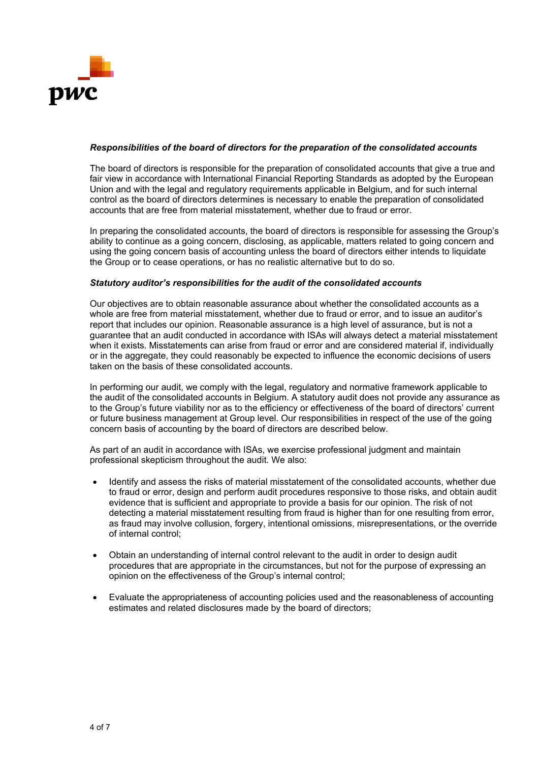

## *Responsibilities of the board of directors for the preparation of the consolidated accounts*

The board of directors is responsible for the preparation of consolidated accounts that give a true and fair view in accordance with International Financial Reporting Standards as adopted by the European Union and with the legal and regulatory requirements applicable in Belgium, and for such internal control as the board of directors determines is necessary to enable the preparation of consolidated accounts that are free from material misstatement, whether due to fraud or error.

In preparing the consolidated accounts, the board of directors is responsible for assessing the Group's ability to continue as a going concern, disclosing, as applicable, matters related to going concern and using the going concern basis of accounting unless the board of directors either intends to liquidate the Group or to cease operations, or has no realistic alternative but to do so.

### *Statutory auditor's responsibilities for the audit of the consolidated accounts*

Our objectives are to obtain reasonable assurance about whether the consolidated accounts as a whole are free from material misstatement, whether due to fraud or error, and to issue an auditor's report that includes our opinion. Reasonable assurance is a high level of assurance, but is not a guarantee that an audit conducted in accordance with ISAs will always detect a material misstatement when it exists. Misstatements can arise from fraud or error and are considered material if, individually or in the aggregate, they could reasonably be expected to influence the economic decisions of users taken on the basis of these consolidated accounts.

In performing our audit, we comply with the legal, regulatory and normative framework applicable to the audit of the consolidated accounts in Belgium. A statutory audit does not provide any assurance as to the Group's future viability nor as to the efficiency or effectiveness of the board of directors' current or future business management at Group level. Our responsibilities in respect of the use of the going concern basis of accounting by the board of directors are described below.

As part of an audit in accordance with ISAs, we exercise professional judgment and maintain professional skepticism throughout the audit. We also:

- Identify and assess the risks of material misstatement of the consolidated accounts, whether due to fraud or error, design and perform audit procedures responsive to those risks, and obtain audit evidence that is sufficient and appropriate to provide a basis for our opinion. The risk of not detecting a material misstatement resulting from fraud is higher than for one resulting from error, as fraud may involve collusion, forgery, intentional omissions, misrepresentations, or the override of internal control;
- Obtain an understanding of internal control relevant to the audit in order to design audit procedures that are appropriate in the circumstances, but not for the purpose of expressing an opinion on the effectiveness of the Group's internal control;
- Evaluate the appropriateness of accounting policies used and the reasonableness of accounting estimates and related disclosures made by the board of directors;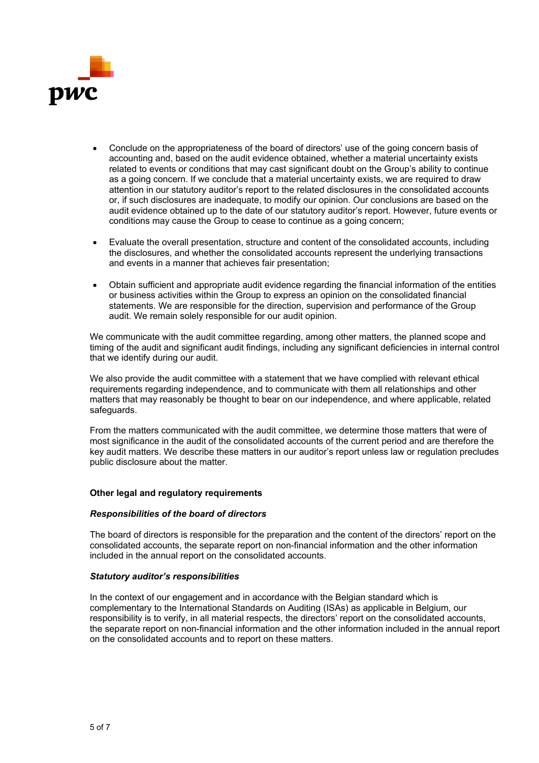

- Conclude on the appropriateness of the board of directors' use of the going concern basis of accounting and, based on the audit evidence obtained, whether a material uncertainty exists related to events or conditions that may cast significant doubt on the Group's ability to continue as a going concern. If we conclude that a material uncertainty exists, we are required to draw attention in our statutory auditor's report to the related disclosures in the consolidated accounts or, if such disclosures are inadequate, to modify our opinion. Our conclusions are based on the audit evidence obtained up to the date of our statutory auditor's report. However, future events or conditions may cause the Group to cease to continue as a going concern;
- Evaluate the overall presentation, structure and content of the consolidated accounts, including the disclosures, and whether the consolidated accounts represent the underlying transactions and events in a manner that achieves fair presentation;
- Obtain sufficient and appropriate audit evidence regarding the financial information of the entities or business activities within the Group to express an opinion on the consolidated financial statements. We are responsible for the direction, supervision and performance of the Group audit. We remain solely responsible for our audit opinion.

We communicate with the audit committee regarding, among other matters, the planned scope and timing of the audit and significant audit findings, including any significant deficiencies in internal control that we identify during our audit.

We also provide the audit committee with a statement that we have complied with relevant ethical requirements regarding independence, and to communicate with them all relationships and other matters that may reasonably be thought to bear on our independence, and where applicable, related safeguards.

From the matters communicated with the audit committee, we determine those matters that were of most significance in the audit of the consolidated accounts of the current period and are therefore the key audit matters. We describe these matters in our auditor's report unless law or regulation precludes public disclosure about the matter.

### **Other legal and regulatory requirements**

### *Responsibilities of the board of directors*

The board of directors is responsible for the preparation and the content of the directors' report on the consolidated accounts, the separate report on non-financial information and the other information included in the annual report on the consolidated accounts.

### *Statutory auditor's responsibilities*

In the context of our engagement and in accordance with the Belgian standard which is complementary to the International Standards on Auditing (ISAs) as applicable in Belgium, our responsibility is to verify, in all material respects, the directors' report on the consolidated accounts, the separate report on non-financial information and the other information included in the annual report on the consolidated accounts and to report on these matters.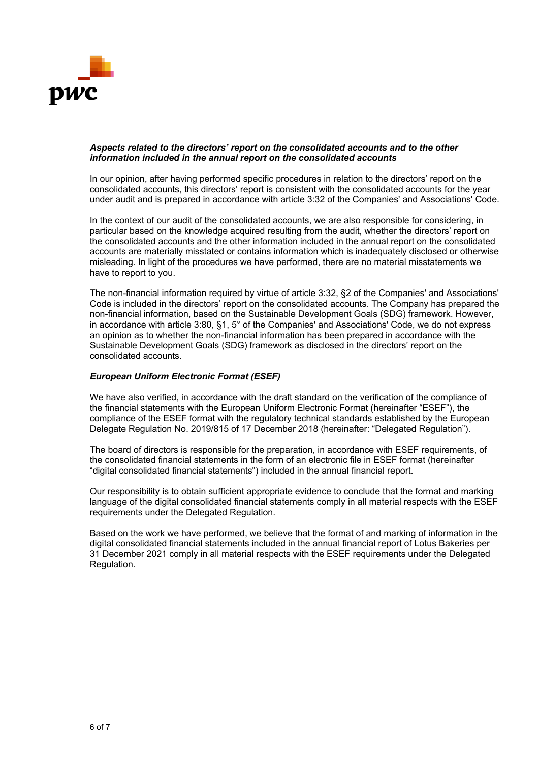

### *Aspects related to the directors' report on the consolidated accounts and to the other information included in the annual report on the consolidated accounts*

In our opinion, after having performed specific procedures in relation to the directors' report on the consolidated accounts, this directors' report is consistent with the consolidated accounts for the year under audit and is prepared in accordance with article 3:32 of the Companies' and Associations' Code.

In the context of our audit of the consolidated accounts, we are also responsible for considering, in particular based on the knowledge acquired resulting from the audit, whether the directors' report on the consolidated accounts and the other information included in the annual report on the consolidated accounts are materially misstated or contains information which is inadequately disclosed or otherwise misleading. In light of the procedures we have performed, there are no material misstatements we have to report to you.

The non-financial information required by virtue of article 3:32, §2 of the Companies' and Associations' Code is included in the directors' report on the consolidated accounts. The Company has prepared the non-financial information, based on the Sustainable Development Goals (SDG) framework. However, in accordance with article 3:80, §1, 5° of the Companies' and Associations' Code, we do not express an opinion as to whether the non-financial information has been prepared in accordance with the Sustainable Development Goals (SDG) framework as disclosed in the directors' report on the consolidated accounts.

# *European Uniform Electronic Format (ESEF)*

We have also verified, in accordance with the draft standard on the verification of the compliance of the financial statements with the European Uniform Electronic Format (hereinafter "ESEF"), the compliance of the ESEF format with the regulatory technical standards established by the European Delegate Regulation No. 2019/815 of 17 December 2018 (hereinafter: "Delegated Regulation").

The board of directors is responsible for the preparation, in accordance with ESEF requirements, of the consolidated financial statements in the form of an electronic file in ESEF format (hereinafter "digital consolidated financial statements") included in the annual financial report.

Our responsibility is to obtain sufficient appropriate evidence to conclude that the format and marking language of the digital consolidated financial statements comply in all material respects with the ESEF requirements under the Delegated Regulation.

Based on the work we have performed, we believe that the format of and marking of information in the digital consolidated financial statements included in the annual financial report of Lotus Bakeries per 31 December 2021 comply in all material respects with the ESEF requirements under the Delegated Regulation.